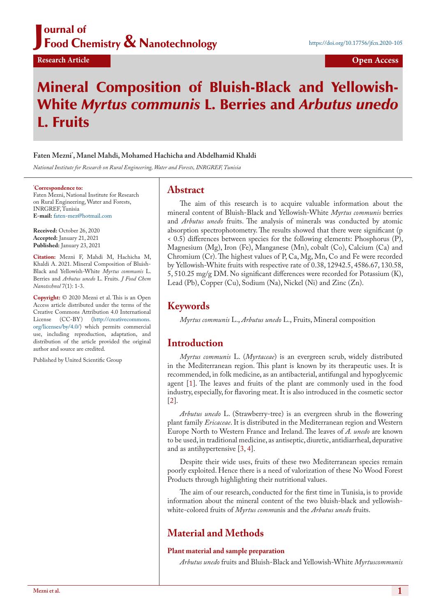### J ournal of Food Chemistry & Nanotechnology

# Mineral Composition of Bluish-Black and Yellowish-White *Myrtus communis* L. Berries and *Arbutus unedo* L. Fruits

### **Faten Mezni\* , Manel Mahdi, Mohamed Hachicha and Abdelhamid Khaldi**

*National Institute for Research on Rural Engineering, Water and Forests, INRGREF, Tunisia*

#### **\* Correspondence to:**

Faten Mezni, National Institute for Research on Rural Engineering, Water and Forests, INRGREF, Tunisia **E-mail:** [faten-mez@hotmail.com](mailto:faten-mez@hotmail.com)

**Received:** October 26, 2020 **Accepted:** January 21, 2021 **Published:** January 23, 2021

**Citation:** Mezni F, Mahdi M, Hachicha M, Khaldi A. 2021. Mineral Composition of Bluish-Black and Yellowish-White *Myrtus communis* L. Berries and *Arbutus unedo* L. Fruits. *J Food Chem Nanotechnol* 7(1): 1-3.

**Copyright:** © 2020 Mezni et al. This is an Open Access article distributed under the terms of the Creative Commons Attribution 4.0 International License (CC-BY) [\(http://creativecommons.](http://creativecommons.org/licenses/by/4.0/) [org/licenses/by/4.0/\)](http://creativecommons.org/licenses/by/4.0/) which permits commercial use, including reproduction, adaptation, and distribution of the article provided the original author and source are credited.

Published by United Scientific Group

## **Abstract**

The aim of this research is to acquire valuable information about the mineral content of Bluish-Black and Yellowish-White *Myrtus communis* berries and *Arbutus unedo* fruits. The analysis of minerals was conducted by atomic absorption spectrophotometry. The results showed that there were significant (p < 0.5) differences between species for the following elements: Phosphorus (P), Magnesium (Mg), Iron (Fe), Manganese (Mn), cobalt (Co), Calcium (Ca) and Chromium (Cr). The highest values of P, Ca, Mg, Mn, Co and Fe were recorded by Yellowish-White fruits with respective rate of 0.38, 12942.5, 4586.67, 130.58, 5, 510.25 mg/g DM. No significant differences were recorded for Potassium (K), Lead (Pb), Copper (Cu), Sodium (Na), Nickel (Ni) and Zinc (Zn).

# **Keywords**

*Myrtus communis* L., *Arbutus unedo* L., Fruits, Mineral composition

## **Introduction**

*Myrtus communis* L. (*Myrtaceae*) is an evergreen scrub, widely distributed in the Mediterranean region. This plant is known by its therapeutic uses. It is recommended, in folk medicine, as an antibacterial, antifungal and hypoglycemic agent [\[1](#page-2-0)]. The leaves and fruits of the plant are commonly used in the food industry, especially, for flavoring meat. It is also introduced in the cosmetic sector  $|2|$ .

*Arbutus unedo* L. (Strawberry-tree) is an evergreen shrub in the flowering plant family *Ericaceae*. It is distributed in the Mediterranean region and Western Europe North to Western France and Ireland. The leaves of *A. unedo* are known to be used, in traditional medicine, as antiseptic, diuretic, antidiarrheal, depurative and as antihypertensive [\[3](#page-2-2), [4](#page-2-3)].

Despite their wide uses, fruits of these two Mediterranean species remain poorly exploited. Hence there is a need of valorization of these No Wood Forest Products through highlighting their nutritional values.

The aim of our research, conducted for the first time in Tunisia, is to provide information about the mineral content of the two bluish-black and yellowishwhite-colored fruits of *Myrtus comm*unis and the *Arbutus unedo* fruits.

# **Material and Methods**

#### **Plant material and sample preparation**

*Arbutus unedo* fruits and Bluish-Black and Yellowish-White *Myrtuscommunis*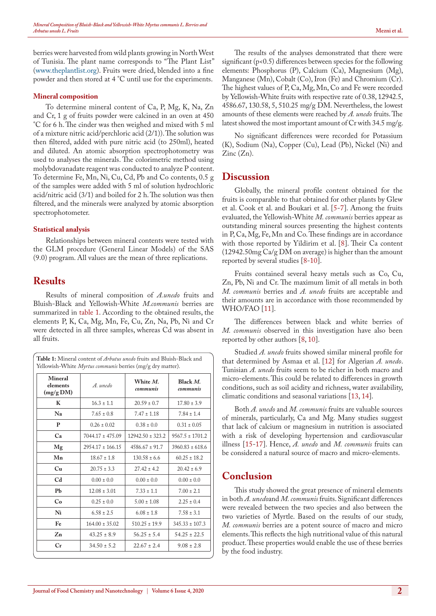berries were harvested from wild plants growing in North West of Tunisia. The plant name corresponds to "The Plant List" ([www.theplantlist.org](http://www.theplantlist.org)). Fruits were dried, blended into a fine powder and then stored at 4 °C until use for the experiments.

#### **Mineral composition**

To determine mineral content of Ca, P, Mg, K, Na, Zn and Cr, 1 g of fruits powder were calcined in an oven at 450 °C for 6 h. The cinder was then weighed and mixed with 5 ml of a mixture nitric acid/perchloric acid (2/1)). The solution was then filtered, added with pure nitric acid (to 250ml), heated and diluted. An atomic absorption spectrophotometry was used to analyses the minerals. The colorimetric method using molybdovanadate reagent was conducted to analyze P content. To determine Fe, Mn, Ni, Cu, Cd, Pb and Co contents, 0.5 g of the samples were added with 5 ml of solution hydrochloric acid/nitric acid (3/1) and boiled for 2 h. The solution was then filtered, and the minerals were analyzed by atomic absorption spectrophotometer.

#### **Statistical analysis**

Relationships between mineral contents were tested with the GLM procedure (General Linear Models) of the SAS (9.0) program. All values are the mean of three replications.

# **Results**

<span id="page-1-0"></span> $\sqrt{211}$ 

 $\overline{\phantom{a}}$ 

Results of mineral composition of *A.unedo* fruits and Bluish-Black and Yellowish-White *M.communis* berries are summarized in [table 1](#page-1-0). According to the obtained results, the elements P, K, Ca, Mg, Mn, Fe, Cu, Zn, Na, Pb, Ni and Cr were detected in all three samples, whereas Cd was absent in all fruits.

| <b>Mineral</b><br>elements<br>(mg/g DM) | A. unedo             | White M.<br>communis | Black M.<br>communis |
|-----------------------------------------|----------------------|----------------------|----------------------|
| K                                       | $16.3 \pm 1.1$       | $20.59 \pm 0.7$      | $17.80 \pm 3.9$      |
| Na                                      | $7.65 \pm 0.8$       | $7.47 \pm 1.18$      | $7.84 \pm 1.4$       |
| P                                       | $0.26 \pm 0.02$      | $0.38 \pm 0.0$       | $0.31 \pm 0.05$      |
| Ca                                      | $7044.17 \pm 475.09$ | $12942.50 \pm 323.2$ | $9567.5 \pm 1701.2$  |
| Mg                                      | $2954.17 \pm 166.15$ | $4586.67 \pm 91.7$   | $3960.83 \pm 618.6$  |
| Mn                                      | $18.67 \pm 1.8$      | $130.58 \pm 6.6$     | $60.25 \pm 18.2$     |
| Cu                                      | $20.75 \pm 3.3$      | $27.42 \pm 4.2$      | $20.42 \pm 6.9$      |
| C <sub>d</sub>                          | $0.00 \pm 0.0$       | $0.00 \pm 0.0$       | $0.00 \pm 0.0$       |
| Pb                                      | $12.08 \pm 3.01$     | $7.33 \pm 1.1$       | $7.00 \pm 2.1$       |
| Co                                      | $0.25 \pm 0.0$       | $5.00 \pm 1.08$      | $2.25 \pm 0.4$       |
| Ni                                      | $6.58 \pm 2.5$       | $6.08 \pm 1.8$       | $7.58 \pm 3.1$       |
| Fe                                      | $164.00 \pm 35.02$   | $510.25 \pm 19.9$    | $345.33 \pm 107.3$   |
| Zn                                      | $43.25 \pm 8.9$      | $56.25 \pm 5.4$      | $54.25 \pm 22.5$     |
| Cr                                      | $34.50 \pm 5.2$      | $22.67 \pm 2.4$      | $9.08 \pm 2.8$       |

The results of the analyses demonstrated that there were significant (p<0.5) differences between species for the following elements: Phosphorus (P), Calcium (Ca), Magnesium (Mg), Manganese (Mn), Cobalt (Co), Iron (Fe) and Chromium (Cr). The highest values of P, Ca, Mg, Mn, Co and Fe were recorded by Yellowish-White fruits with respective rate of 0.38, 12942.5, 4586.67, 130.58, 5, 510.25 mg/g DM. Nevertheless, the lowest amounts of these elements were reached by *A. unedo* fruits. The latest showed the most important amount of Cr with 34.5 mg/g.

No significant differences were recorded for Potassium (K), Sodium (Na), Copper (Cu), Lead (Pb), Nickel (Ni) and Zinc (Zn).

## **Discussion**

Globally, the mineral profile content obtained for the fruits is comparable to that obtained for other plants by Glew et al. Cook et al. and Boukari et al. [[5-](#page-2-4)[7\]](#page-2-5). Among the fruits evaluated, the Yellowish-White *M. communis* berries appear as outstanding mineral sources presenting the highest contents in P, Ca, Mg, Fe, Mn and Co. These findings are in accordance with those reported by Yildirim et al. [[8\]](#page-2-6). Their Ca content (12942.50mg Ca/g DM on average) is higher than the amount reported by several studies [\[8](#page-2-6)[-10](#page-2-7)].

Fruits contained several heavy metals such as Co, Cu, Zn, Pb, Ni and Cr. The maximum limit of all metals in both *M. communis* berries and *A. unedo* fruits are acceptable and their amounts are in accordance with those recommended by WHO/FAO [[11\]](#page-2-8).

The differences between black and white berries of *M. communis* observed in this investigation have also been reported by other authors [\[8](#page-2-6), [10\]](#page-2-7).

Studied *A. unedo* fruits showed similar mineral profile for that determined by Asmaa et al. [\[12](#page-2-9)] for Algerian *A. unedo*. Tunisian *A. unedo* fruits seem to be richer in both macro and micro-elements. This could be related to differences in growth conditions, such as soil acidity and richness, water availability, climatic conditions and seasonal variations [[13,](#page-2-10) [14\]](#page-2-11).

Both *A. unedo* and *M. communis* fruits are valuable sources of minerals, particularly, Ca and Mg. Many studies suggest that lack of calcium or magnesium in nutrition is associated with a risk of developing hypertension and cardiovascular illness [\[15](#page-2-12)[-17](#page-2-13)]. Hence, *A. unedo* and *M. communis* fruits can be considered a natural source of macro and micro-elements.

# **Conclusion**

This study showed the great presence of mineral elements in both *A. unedo*and *M. communis* fruits. Significant differences were revealed between the two species and also between the two varieties of Myrtle. Based on the results of our study, *M. communis* berries are a potent source of macro and micro elements. This reflects the high nutritional value of this natural product. These properties would enable the use of these berries by the food industry.